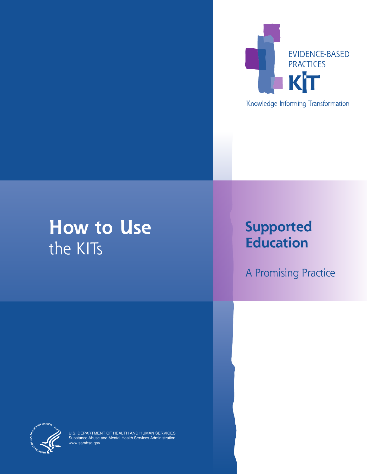

**How to Use** the KITs

# **Supported Education**

A Promising Practice



U.S. DEPARTMENT OF HEALTH AND HUMAN SERVICES Substance Abuse and Mental Health Services Administration www.samhsa.gov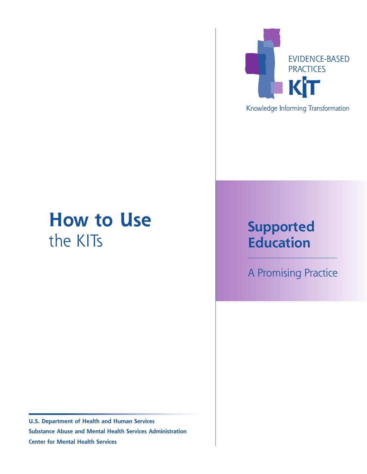# **How to Use True Constraining Constraining Supported**<br>the KITs **Supported**

**U.S. Department of Health and Human Services Substance Abuse and Mental Health Services Administration Center for Mental Health Services**



Knowledge Informing Transformation

# **Education**

A Promising Practice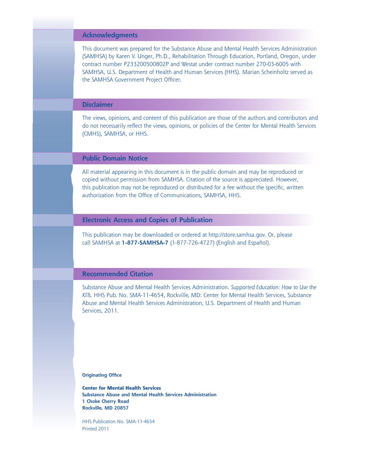#### **Acknowledgments**

This document was prepared for the Substance Abuse and Mental Health Services Administration (SAMHSA) by Karen V. Unger, Ph.D., Rehabilitation Through Education, Portland, Oregon, under contract number P233200500802P and Westat under contract number 270-03-6005 with SAMHSA, U.S. Department of Health and Human Services (HHS). Marian Scheinholtz served as the SAMHSA Government Project Officer.

#### **Disclaimer**

The views, opinions, and content of this publication are those of the authors and contributors and do not necessarily reflect the views, opinions, or policies of the Center for Mental Health Services (CMHS), SAMHSA, or HHS.

### **Public Domain Notice**

All material appearing in this document is in the public domain and may be reproduced or copied without permission from SAMHSA. Citation of the source is appreciated. However, this publication may not be reproduced or distributed for a fee without the specific, written authorization from the Office of Communications, SAMHSA, HHS.

#### **Electronic Access and Copies of Publication**

This publication may be downloaded or ordered at [http://store.samhsa.gov.](http://store.samhsa.gov) Or, please call SAMHSA at **1-877-SAMHSA-7** (1-877-726-4727) (English and Español).

#### **Recommended Citation**

Substance Abuse and Mental Health Services Administration. *Supported Education: How to Use the KITs.* HHS Pub. No. SMA-11-4654, Rockville, MD: Center for Mental Health Services, Substance Abuse and Mental Health Services Administration, U.S. Department of Health and Human Services, 2011.

**Originating Office**

**Center for Mental Health Services Substance Abuse and Mental Health Services Administration 1 Choke Cherry Road Rockville, MD 20857**

HHS Publication No. SMA-11-4654 Printed 2011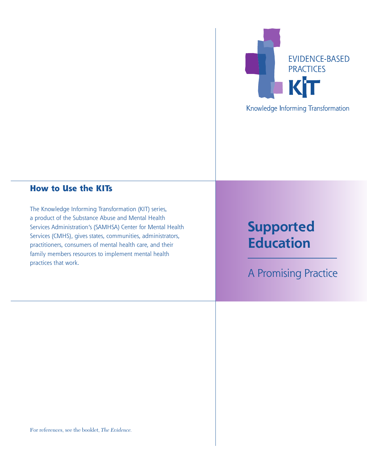

# Knowledge Informing Transformation

## **How to Use the KITs**

The Knowledge Informing Transformation (KIT) series, a product of the Substance Abuse and Mental Health Services Administration's (SAMHSA) Center for Mental Health Services (CMHS), gives states, communities, administrators, practitioners, consumers of mental health care, and their family members resources to implement mental health practices that work.

# **Supported Education**

A Promising Practice

For references, see the booklet, *The Evidence.*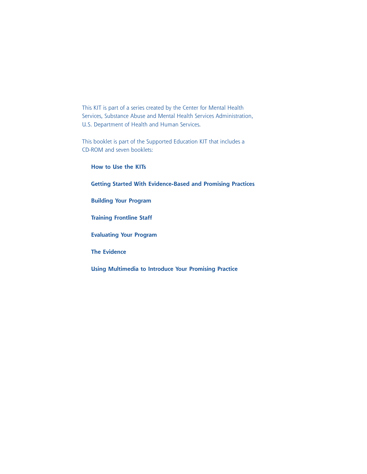This KIT is part of a series created by the Center for Mental Health Services, Substance Abuse and Mental Health Services Administration, U.S. Department of Health and Human Services.

This booklet is part of the Supported Education KIT that includes a CD-ROM and seven booklets:

**How to Use the KITs Getting Started With Evidence-Based and Promising Practices Building Your Program Training Frontline Staff Evaluating Your Program The Evidence Using Multimedia to Introduce Your Promising Practice**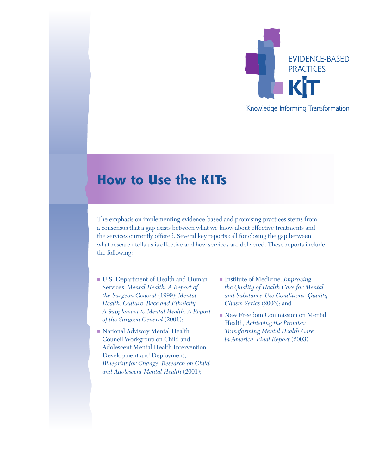

## Knowledge Informing Transformation

# **How to Use the KITs**

The emphasis on implementing evidence-based and promising practices stems from a consensus that a gap exists between what we know about effective treatments and the services currently offered. Several key reports call for closing the gap between what research tells us is effective and how services are delivered. These reports include the following:

- **III.S.** Department of Health and Human Services, *Mental Health: A Report of the Surgeon General* (1999); *Mental Health: Culture, Race and Ethnicity. A Supplement to Mental Health: A Report of the Surgeon General* (2001);
- National Advisory Mental Health Council Workgroup on Child and Adolescent Mental Health Intervention Development and Deployment, *Blueprint for Change: Research on Child and Adolescent Mental Health* (2001);
- Institute of Medicine. *Improving the Quality of Health Care for Mental and Substance-Use Conditions: Quality Chasm Series* (2006); and
- New Freedom Commission on Mental Health, *Achieving the Promise: Transforming Mental Health Care in America. Final Report* (2003).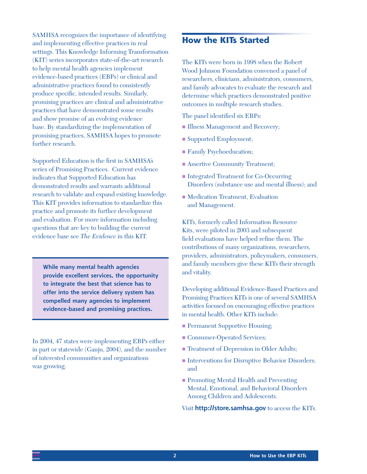SAMHSA recognizes the importance of identifying and implementing effective practices in real settings. This Knowledge Informing Transformation (KIT) series incorporates state-of-the-art research to help mental health agencies implement evidence-based practices (EBPs) or clinical and administrative practices found to consistently produce specific, intended results. Similarly, promising practices are clinical and administrative practices that have demonstrated some results and show promise of an evolving evidence base. By standardizing the implementation of promising practices, SAMHSA hopes to promote further research.

Supported Education is the first in SAMHSA's series of Promising Practices. Current evidence indicates that Supported Education has demonstrated results and warrants additional research to validate and expand existing knowledge. This KIT provides information to standardize this practice and promote its further development and evaluation. For more information including questions that are key to building the current evidence base see *The Evidence* in this KIT.

**While many mental health agencies provide excellent services, the opportunity to integrate the best that science has to offer into the service delivery system has compelled many agencies to implement evidence-based and promising practices.**

In 2004, 47 states were implementing EBPs either in part or statewide (Ganju, 2004), and the number of interested communities and organizations was growing.

# **How the KITs Started**

The KITs were born in 1998 when the Robert Wood Johnson Foundation convened a panel of researchers, clinicians, administrators, consumers, and family advocates to evaluate the research and determine which practices demonstrated positive outcomes in multiple research studies.

The panel identified six EBPs:

- Illness Management and Recovery;
- **Exercise Supported Employment;**
- **Family Psychoeducation;**
- **Example 3 Assertive Community Treatment;**
- Integrated Treatment for Co-Occurring Disorders (substance use and mental illness); and
- Medication Treatment, Evaluation and Management.

KITs, formerly called Information Resource Kits, were piloted in 2003 and subsequent field evaluations have helped refine them. The contributions of many organizations, researchers, providers, administrators, policymakers, consumers, and family members give these KITs their strength and vitality.

Developing additional Evidence-Based Practices and Promising Practices KITs is one of several SAMHSA activities focused on encouraging effective practices in mental health. Other KITs include:

- **Permanent Supportive Housing;**
- **Consumer-Operated Services;**
- **Treatment of Depression in Older Adults;**
- Interventions for Disruptive Behavior Disorders; and
- **Promoting Mental Health and Preventing** Mental, Emotional, and Behavioral Disorders Among Children and Adolescents.

Visit **<http://store.samhsa.gov>** to access the KITs.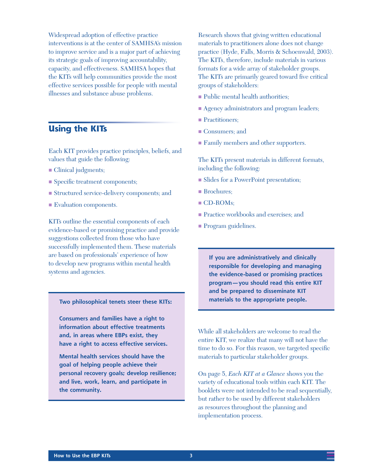Widespread adoption of effective practice interventions is at the center of SAMHSA's mission to improve service and is a major part of achieving its strategic goals of improving accountability, capacity, and effectiveness. SAMHSA hopes that the KITs will help communities provide the most effective services possible for people with mental illnesses and substance abuse problems.

## **Using the KITs**

Each KIT provides practice principles, beliefs, and values that guide the following:

- $\blacksquare$  Clinical judgments;
- **n** Specific treatment components;
- **Exercise** Structured service-delivery components; and
- **Exaluation components.**

KITs outline the essential components of each evidence-based or promising practice and provide suggestions collected from those who have successfully implemented them. These materials are based on professionals' experience of how to develop new programs within mental health systems and agencies.

#### **Two philosophical tenets steer these KITs:**

**Consumers and families have a right to information about effective treatments and, in areas where EBPs exist, they have a right to access effective services.**

**Mental health services should have the goal of helping people achieve their personal recovery goals; develop resilience; and live, work, learn, and participate in the community.**

Research shows that giving written educational materials to practitioners alone does not change practice (Hyde, Falls, Morris & Schoenwald, 2003). The KITs, therefore, include materials in various formats for a wide array of stakeholder groups. The KITs are primarily geared toward five critical groups of stakeholders:

- **Public mental health authorities;**
- **Agency administrators and program leaders;**
- Practitioners;
- Consumers; and
- **Family members and other supporters.**

The KITs present materials in different formats, including the following:

- **Example 3 I** Slides for a PowerPoint presentation;
- Brochures;
- CD-ROMs;
- **Practice workbooks and exercises; and**
- **Program guidelines.**

**If you are administratively and clinically responsible for developing and managing the evidence-based or promising practices program—you should read this entire KIT and be prepared to disseminate KIT materials to the appropriate people.**

While all stakeholders are welcome to read the entire KIT, we realize that many will not have the time to do so. For this reason, we targeted specific materials to particular stakeholder groups.

On page 5, *Each KIT at a Glance* shows you the variety of educational tools within each KIT. The booklets were not intended to be read sequentially, but rather to be used by different stakeholders as resources throughout the planning and implementation process.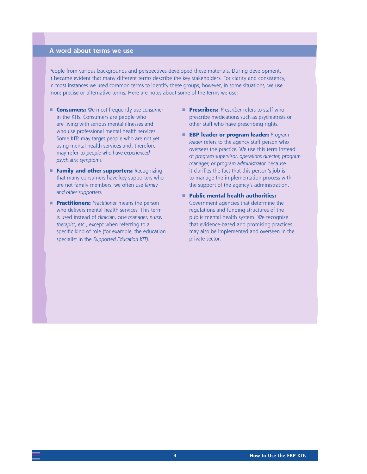#### **A word about terms we use**

People from various backgrounds and perspectives developed these materials. During development, it became evident that many different terms describe the key stakeholders. For clarity and consistency, in most instances we used common terms to identify these groups; however, in some situations, we use more precise or alternative terms. Here are notes about some of the terms we use:

- **Consumers:** We most frequently use *consumer*  in the KITs. Consumers are people who are living with serious mental illnesses and who use professional mental health services. Some KITs may target people who are not yet using mental health services and, therefore, may refer to *people who have experienced psychiatric symptoms.*
- **Family and other supporters: Recognizing** that many consumers have key supporters who are not family members, we often use *family and other supporters.*
- **Practitioners:** *Practitioner* means the person who delivers mental health services. This term is used instead of *clinician, case manager, nurse, therapist,* etc., except when referring to a specific kind of role (for example, the education specialist in the *Supported Education KIT)*.
- **Prescribers:** Prescriber refers to staff who prescribe medications such as psychiatrists or other staff who have prescribing rights.
- **EBP leader or program leader:** *Program leader* refers to the agency staff person who oversees the practice. We use this term instead of *program supervisor, operations director, program manager, or program administrator* because it clarifies the fact that this person's job is to manage the implementation process with the support of the agency's administration.
- **Public mental health authorities:** Government agencies that determine the regulations and funding structures of the public mental health system. We recognize that evidence-based and promising practices may also be implemented and overseen in the private sector.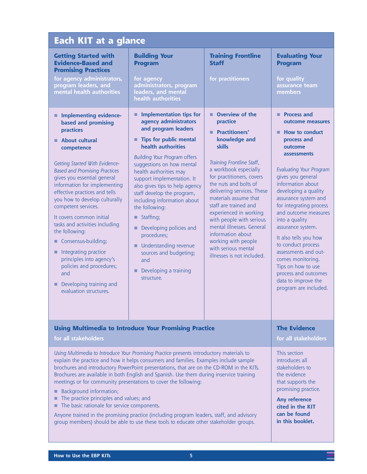| <b>Each KIT at a glance</b>                                                                                                                                                                                                                                                                                                                                                                                                                                                                                                                                                                                                                                                                                                                           |                                                                                                                                                                                                                                                                                                                                                                                                                                                                                                                                                                      |                                                                                                                                                                                                                                                                                                                                                                                                                                                                      |                                                                                                                                                                                                                                                                                                                                                                                                                                                                                                                             |
|-------------------------------------------------------------------------------------------------------------------------------------------------------------------------------------------------------------------------------------------------------------------------------------------------------------------------------------------------------------------------------------------------------------------------------------------------------------------------------------------------------------------------------------------------------------------------------------------------------------------------------------------------------------------------------------------------------------------------------------------------------|----------------------------------------------------------------------------------------------------------------------------------------------------------------------------------------------------------------------------------------------------------------------------------------------------------------------------------------------------------------------------------------------------------------------------------------------------------------------------------------------------------------------------------------------------------------------|----------------------------------------------------------------------------------------------------------------------------------------------------------------------------------------------------------------------------------------------------------------------------------------------------------------------------------------------------------------------------------------------------------------------------------------------------------------------|-----------------------------------------------------------------------------------------------------------------------------------------------------------------------------------------------------------------------------------------------------------------------------------------------------------------------------------------------------------------------------------------------------------------------------------------------------------------------------------------------------------------------------|
| <b>Getting Started with</b><br><b>Evidence-Based and</b><br><b>Promising Practices</b><br>for agency administrators,<br>program leaders, and<br>mental health authorities                                                                                                                                                                                                                                                                                                                                                                                                                                                                                                                                                                             | <b>Building Your</b><br><b>Program</b><br>for agency<br>administrators, program<br>leaders, and mental                                                                                                                                                                                                                                                                                                                                                                                                                                                               | <b>Training Frontline</b><br><b>Staff</b><br>for practitioners                                                                                                                                                                                                                                                                                                                                                                                                       | <b>Evaluating Your</b><br><b>Program</b><br>for quality<br>assurance team<br>members                                                                                                                                                                                                                                                                                                                                                                                                                                        |
|                                                                                                                                                                                                                                                                                                                                                                                                                                                                                                                                                                                                                                                                                                                                                       | health authorities                                                                                                                                                                                                                                                                                                                                                                                                                                                                                                                                                   |                                                                                                                                                                                                                                                                                                                                                                                                                                                                      |                                                                                                                                                                                                                                                                                                                                                                                                                                                                                                                             |
| <b>Implementing evidence-</b><br>based and promising<br>practices<br><b>About cultural</b><br>competence<br>Getting Started With Evidence-<br><b>Based and Promising Practices</b><br>gives you essential general<br>information for implementing<br>effective practices and tells<br>you how to develop culturally<br>competent services.<br>It covers common initial<br>tasks and activities including<br>the following:<br>Consensus-building;<br>Integrating practice<br>■<br>principles into agency's<br>policies and procedures;<br>and<br>Developing training and<br>evaluation structures.                                                                                                                                                    | <b>Implementation tips for</b><br>٠<br>agency administrators<br>and program leaders<br>Tips for public mental<br>٠<br>health authorities<br><b>Building Your Program offers</b><br>suggestions on how mental<br>health authorities may<br>support implementation. It<br>also gives tips to help agency<br>staff develop the program,<br>including information about<br>the following:<br><b>Staffing</b> ;<br>Developing policies and<br>■<br>procedures;<br>Understanding revenue<br>ш<br>sources and budgeting;<br>and<br>Developing a training<br>٠<br>structure. | Overview of the<br>practice<br><b>Practitioners'</b><br>٠<br>knowledge and<br>skills<br>Training Frontline Staff,<br>a workbook especially<br>for practitioners, covers<br>the nuts and bolts of<br>delivering services. These<br>materials assume that<br>staff are trained and<br>experienced in working<br>with people with serious<br>mental illnesses. General<br>information about<br>working with people<br>with serious mental<br>illnesses is not included. | <b>Process and</b><br>٠<br>outcome measures<br>How to conduct<br>٠<br>process and<br>outcome<br>assessments<br><b>Evaluating Your Program</b><br>gives you general<br>information about<br>developing a quality<br>assurance system and<br>for integrating process<br>and outcome measures<br>into a quality<br>assurance system.<br>It also tells you how<br>to conduct process<br>assessments and out-<br>comes monitoring.<br>Tips on how to use<br>process and outcomes<br>data to improve the<br>program are included. |
| <b>Using Multimedia to Introduce Your Promising Practice</b>                                                                                                                                                                                                                                                                                                                                                                                                                                                                                                                                                                                                                                                                                          |                                                                                                                                                                                                                                                                                                                                                                                                                                                                                                                                                                      |                                                                                                                                                                                                                                                                                                                                                                                                                                                                      | <b>The Evidence</b>                                                                                                                                                                                                                                                                                                                                                                                                                                                                                                         |
| for all stakeholders                                                                                                                                                                                                                                                                                                                                                                                                                                                                                                                                                                                                                                                                                                                                  |                                                                                                                                                                                                                                                                                                                                                                                                                                                                                                                                                                      |                                                                                                                                                                                                                                                                                                                                                                                                                                                                      | for all stakeholders                                                                                                                                                                                                                                                                                                                                                                                                                                                                                                        |
| Using Multimedia to Introduce Your Promising Practice presents introductory materials to<br>explain the practice and how it helps consumers and families. Examples include sample<br>brochures and introductory PowerPoint presentations, that are on the CD-ROM in the KITs.<br>Brochures are available in both English and Spanish. Use them during inservice training<br>meetings or for community presentations to cover the following:<br>Background information;<br>The practice principles and values; and<br>The basic rationale for service components.<br>Anyone trained in the promising practice (including program leaders, staff, and advisory<br>group members) should be able to use these tools to educate other stakeholder groups. |                                                                                                                                                                                                                                                                                                                                                                                                                                                                                                                                                                      |                                                                                                                                                                                                                                                                                                                                                                                                                                                                      | This section<br>introduces all<br>stakeholders to<br>the evidence<br>that supports the<br>promising practice.<br>Any reference<br>cited in the KIT<br>can be found<br>in this booklet.                                                                                                                                                                                                                                                                                                                                      |